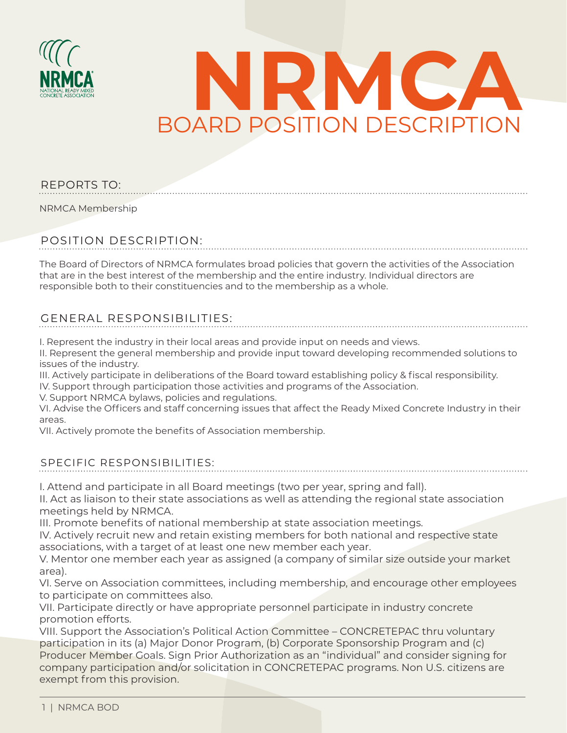



#### REPORTS TO:

NRMCA Membership

## POSITION DESCRIPTION:

The Board of Directors of NRMCA formulates broad policies that govern the activities of the Association that are in the best interest of the membership and the entire industry. Individual directors are responsible both to their constituencies and to the membership as a whole.

## GENERAL RESPONSIBILITIES:

I. Represent the industry in their local areas and provide input on needs and views.

II. Represent the general membership and provide input toward developing recommended solutions to issues of the industry.

III. Actively participate in deliberations of the Board toward establishing policy & fiscal responsibility. IV. Support through participation those activities and programs of the Association.

V. Support NRMCA bylaws, policies and regulations.

VI. Advise the Officers and staff concerning issues that affect the Ready Mixed Concrete Industry in their areas.

VII. Actively promote the benefits of Association membership.

#### SPECIFIC RESPONSIBILITIES:

I. Attend and participate in all Board meetings (two per year, spring and fall).

II. Act as liaison to their state associations as well as attending the regional state association meetings held by NRMCA.

III. Promote benefits of national membership at state association meetings.

IV. Actively recruit new and retain existing members for both national and respective state associations, with a target of at least one new member each year.

V. Mentor one member each year as assigned (a company of similar size outside your market area).

VI. Serve on Association committees, including membership, and encourage other employees to participate on committees also.

VII. Participate directly or have appropriate personnel participate in industry concrete promotion efforts.

VIII. Support the Association's Political Action Committee – CONCRETEPAC thru voluntary participation in its (a) Major Donor Program, (b) Corporate Sponsorship Program and (c) Producer Member Goals. Sign Prior Authorization as an "individual" and consider signing for company participation and/or solicitation in CONCRETEPAC programs. Non U.S. citizens are exempt from this provision.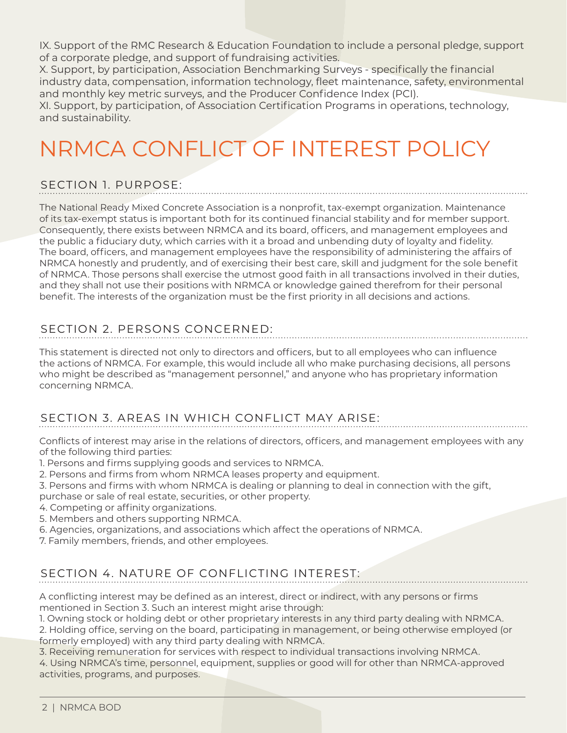IX. Support of the RMC Research & Education Foundation to include a personal pledge, support of a corporate pledge, and support of fundraising activities.

X. Support, by participation, Association Benchmarking Surveys - specifically the financial industry data, compensation, information technology, fleet maintenance, safety, environmental and monthly key metric surveys, and the Producer Confidence Index (PCI).

XI. Support, by participation, of Association Certification Programs in operations, technology, and sustainability.

# NRMCA CONFLICT OF INTEREST POLICY

# SECTION 1. PURPOSE:

The National Ready Mixed Concrete Association is a nonprofit, tax-exempt organization. Maintenance of its tax-exempt status is important both for its continued financial stability and for member support. Consequently, there exists between NRMCA and its board, officers, and management employees and the public a fiduciary duty, which carries with it a broad and unbending duty of loyalty and fidelity. The board, officers, and management employees have the responsibility of administering the affairs of NRMCA honestly and prudently, and of exercising their best care, skill and judgment for the sole benefit of NRMCA. Those persons shall exercise the utmost good faith in all transactions involved in their duties, and they shall not use their positions with NRMCA or knowledge gained therefrom for their personal benefit. The interests of the organization must be the first priority in all decisions and actions.

# SECTION 2. PERSONS CONCERNED:

This statement is directed not only to directors and officers, but to all employees who can influence the actions of NRMCA. For example, this would include all who make purchasing decisions, all persons who might be described as "management personnel," and anyone who has proprietary information concerning NRMCA.

# SECTION 3. AREAS IN WHICH CONFLICT MAY ARISE:

Conflicts of interest may arise in the relations of directors, officers, and management employees with any of the following third parties:

- 1. Persons and firms supplying goods and services to NRMCA.
- 2. Persons and firms from whom NRMCA leases property and equipment.
- 3. Persons and firms with whom NRMCA is dealing or planning to deal in connection with the gift, purchase or sale of real estate, securities, or other property.
- 4. Competing or affinity organizations.
- 5. Members and others supporting NRMCA.
- 6. Agencies, organizations, and associations which affect the operations of NRMCA.
- 7. Family members, friends, and other employees.

# SECTION 4. NATURE OF CONFLICTING INTEREST:

A conflicting interest may be defined as an interest, direct or indirect, with any persons or firms mentioned in Section 3. Such an interest might arise through:

1. Owning stock or holding debt or other proprietary interests in any third party dealing with NRMCA.

2. Holding office, serving on the board, participating in management, or being otherwise employed (or formerly employed) with any third party dealing with NRMCA.

3. Receiving remuneration for services with respect to individual transactions involving NRMCA.

4. Using NRMCA's time, personnel, equipment, supplies or good will for other than NRMCA-approved activities, programs, and purposes.